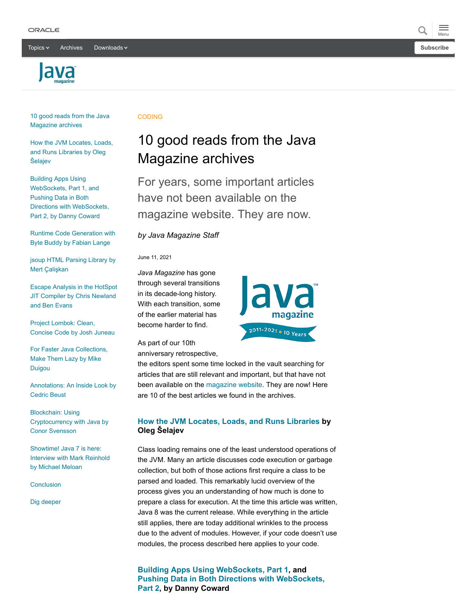Topics  $\times$  [Archives](https://app.compendium.com/javamagazine/issue-archives) Downloads  $\times$ 





[10 good reads from the Java](#page-0-0) Magazine archives

[How the JVM Locates, Loads,](#page-0-1) and Runs Libraries by Oleg Šelajev

Building Apps Using WebSockets, Part 1, and Pushing Data in Both [Directions with WebSockets,](#page-0-2) Part 2, by Danny Coward

[Runtime Code Generation with](#page-1-0) Byte Buddy by Fabian Lange

[jsoup HTML Parsing Library by](#page-1-1) Mert Çalişkan

[Escape Analysis in the HotSpot](#page-1-2) JIT Compiler by Chris Newland and Ben Evans

Project Lombok: Clean, [Concise Code by Josh Juneau](#page-1-3)

[For Faster Java Collections,](#page-2-0) Make Them Lazy by Mike Duigou

[Annotations: An Inside Look by](#page-2-1) Cedric Beust

Blockchain: Using [Cryptocurrency with Java by](#page-2-2) Conor Svensson

Showtime! Java 7 is here: [Interview with Mark Reinhold](#page-2-3) by Michael Meloan

**[Conclusion](#page-3-0)** 

[Dig deeper](#page-3-1)

#### **CODING**

# <span id="page-0-0"></span>10 good reads from the Java Magazine archives

For years, some important articles have not been available on the magazine website. They are now.

*by Java Magazine Staff*

June 11, 2021

*Java Magazine* has gone through several transitions in its decade-long history. With each transition, some of the earlier material has become harder to find.



As part of our 10th anniversary retrospective,

the editors spent some time locked in the vault searching for articles that are still relevant and important, but that have not been available on the [magazine website](https://blogs.oracle.com/javamagazine/). They are now! Here are 10 of the best articles we found in the archives.

# <span id="page-0-1"></span>**[How the JVM Locates, Loads, and Runs Libraries](https://blogs.oracle.com/javamagazine/java-jvm-class-loaders) by Oleg Šelajev**

Class loading remains one of the least understood operations of the JVM. Many an article discusses code execution or garbage collection, but both of those actions first require a class to be parsed and loaded. This remarkably lucid overview of the process gives you an understanding of how much is done to prepare a class for execution. At the time this article was written, Java 8 was the current release. While everything in the article still applies, there are today additional wrinkles to the process due to the advent of modules. However, if your code doesn't use modules, the process described here applies to your code.

<span id="page-0-2"></span>**[Building Apps Using WebSockets, Part 1](https://blogs.oracle.com/javamagazine/java-websockets-connections), and [Pushing Data in Both Directions with WebSockets,](https://blogs.oracle.com/javamagazine/java-websockets-bidirectional) Part 2, by Danny Coward**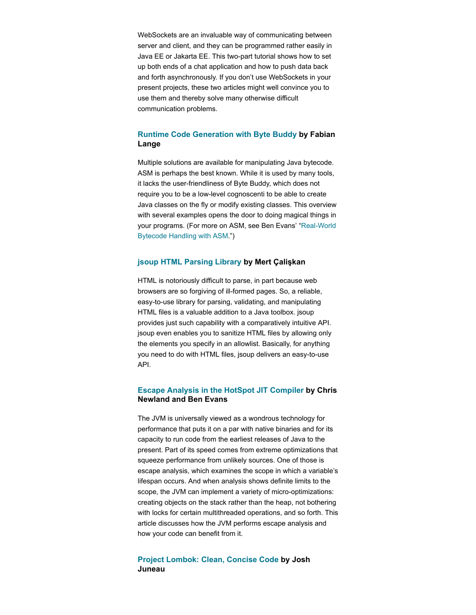WebSockets are an invaluable way of communicating between server and client, and they can be programmed rather easily in Java EE or Jakarta EE. This two-part tutorial shows how to set up both ends of a chat application and how to push data back and forth asynchronously. If you don't use WebSockets in your present projects, these two articles might well convince you to use them and thereby solve many otherwise difficult communication problems.

## <span id="page-1-0"></span>**[Runtime Code Generation with Byte Buddy](https://blogs.oracle.com/javamagazine/java-bytebuddy-bytecode) by Fabian Lange**

Multiple solutions are available for manipulating Java bytecode. ASM is perhaps the best known. While it is used by many tools, it lacks the user-friendliness of Byte Buddy, which does not require you to be a low-level cognoscenti to be able to create Java classes on the fly or modify existing classes. This overview with several examples opens the door to doing magical things in [your programs. \(For more on ASM, see Ben Evans' "Real-World](https://blogs.oracle.com/javamagazine/real-world-bytecode-handling-with-asm) Bytecode Handling with ASM.")

#### <span id="page-1-1"></span>**[jsoup HTML Parsing Library](https://blogs.oracle.com/javamagazine/jsoup-html-parsing-library) by Mert Çalişkan**

HTML is notoriously difficult to parse, in part because web browsers are so forgiving of ill-formed pages. So, a reliable, easy-to-use library for parsing, validating, and manipulating HTML files is a valuable addition to a Java toolbox. jsoup provides just such capability with a comparatively intuitive API. jsoup even enables you to sanitize HTML files by allowing only the elements you specify in an allowlist. Basically, for anything you need to do with HTML files, jsoup delivers an easy-to-use API.

## <span id="page-1-2"></span>**[Escape Analysis in the HotSpot JIT Compiler](https://blogs.oracle.com/javamagazine/java-escape-analysis-optimization) by Chris Newland and Ben Evans**

The JVM is universally viewed as a wondrous technology for performance that puts it on a par with native binaries and for its capacity to run code from the earliest releases of Java to the present. Part of its speed comes from extreme optimizations that squeeze performance from unlikely sources. One of those is escape analysis, which examines the scope in which a variable's lifespan occurs. And when analysis shows definite limits to the scope, the JVM can implement a variety of micro-optimizations: creating objects on the stack rather than the heap, not bothering with locks for certain multithreaded operations, and so forth. This article discusses how the JVM performs escape analysis and how your code can benefit from it.

### <span id="page-1-3"></span>**[Project Lombok: Clean, Concise Code](https://blogs.oracle.com/javamagazine/java-lombok-annotation) by Josh Juneau**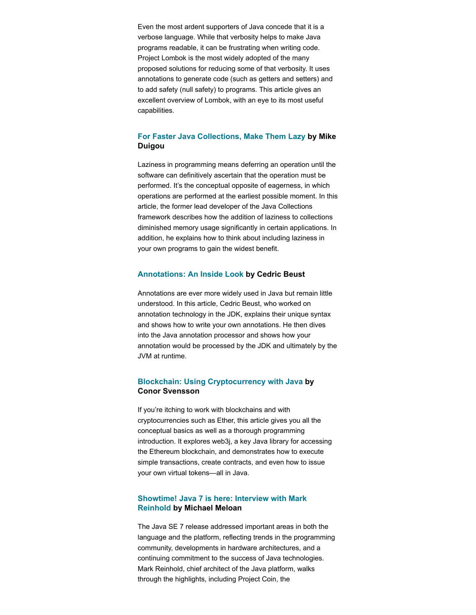Even the most ardent supporters of Java concede that it is a verbose language. While that verbosity helps to make Java programs readable, it can be frustrating when writing code. Project Lombok is the most widely adopted of the many proposed solutions for reducing some of that verbosity. It uses annotations to generate code (such as getters and setters) and to add safety (null safety) to programs. This article gives an excellent overview of Lombok, with an eye to its most useful capabilities.

## <span id="page-2-0"></span>**[For Faster Java Collections, Make Them Lazy](https://blogs.oracle.com/javamagazine/java-lazy-collections-arraylist-hashmap) by Mike Duigou**

Laziness in programming means deferring an operation until the software can definitively ascertain that the operation must be performed. It's the conceptual opposite of eagerness, in which operations are performed at the earliest possible moment. In this article, the former lead developer of the Java Collections framework describes how the addition of laziness to collections diminished memory usage significantly in certain applications. In addition, he explains how to think about including laziness in your own programs to gain the widest benefit.

#### <span id="page-2-1"></span>**[Annotations: An Inside Look](https://blogs.oracle.com/javamagazine/java-annotations-inside-look) by Cedric Beust**

Annotations are ever more widely used in Java but remain little understood. In this article, Cedric Beust, who worked on annotation technology in the JDK, explains their unique syntax and shows how to write your own annotations. He then dives into the Java annotation processor and shows how your annotation would be processed by the JDK and ultimately by the JVM at runtime.

## <span id="page-2-2"></span>**[Blockchain: Using Cryptocurrency with Java](https://blogs.oracle.com/javamagazine/java-cryptocurrency-blockchain-web3j) by Conor Svensson**

If you're itching to work with blockchains and with cryptocurrencies such as Ether, this article gives you all the conceptual basics as well as a thorough programming introduction. It explores web3j, a key Java library for accessing the Ethereum blockchain, and demonstrates how to execute simple transactions, create contracts, and even how to issue your own virtual tokens—all in Java.

## <span id="page-2-3"></span>**[Showtime! Java 7 is here: Interview with Mark](https://blogs.oracle.com/javamagazine/java-reinhold-java7-coin-invokedynamic) Reinhold by Michael Meloan**

The Java SE 7 release addressed important areas in both the language and the platform, reflecting trends in the programming community, developments in hardware architectures, and a continuing commitment to the success of Java technologies. Mark Reinhold, chief architect of the Java platform, walks through the highlights, including Project Coin, the